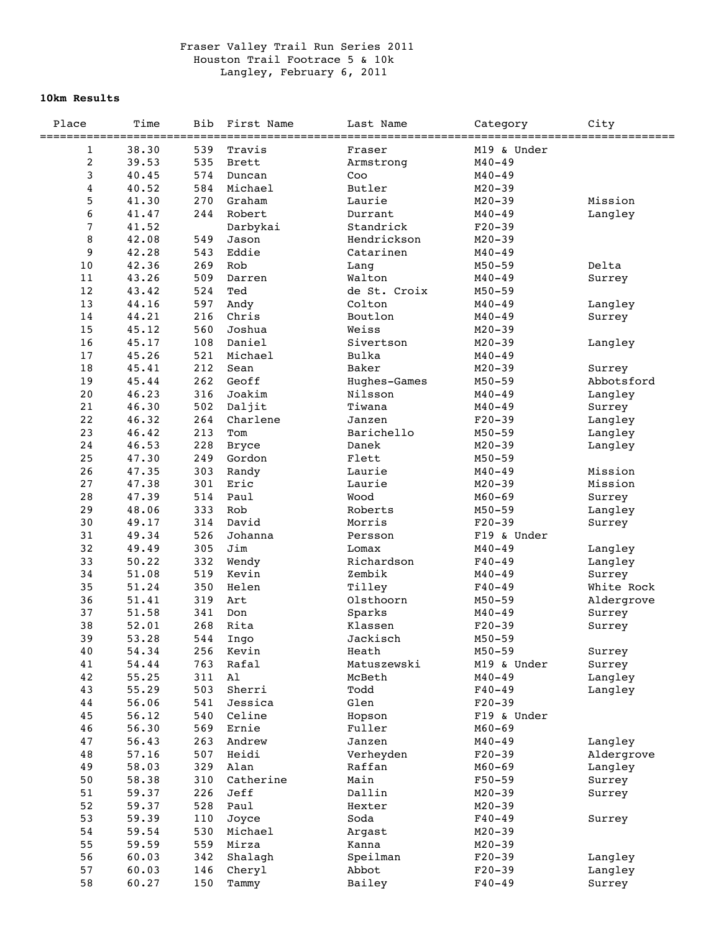## Fraser Valley Trail Run Series 2011 Houston Trail Footrace 5 & 10k Langley, February 6, 2011

## **10km Results**

| Place                         | Time           | Bib        | First Name       | Last Name         | Category                 | City        |
|-------------------------------|----------------|------------|------------------|-------------------|--------------------------|-------------|
|                               | 38.30          | 539        | Travis           | =======           | M19 & Under              | =========== |
| $\mathbf 1$<br>$\overline{c}$ | 39.53          | 535        | <b>Brett</b>     | Fraser            |                          |             |
| 3                             | 40.45          | 574        | Duncan           | Armstrong<br>Coo  | $M40 - 49$<br>$M40 - 49$ |             |
| $\overline{\mathbf{4}}$       | 40.52          | 584        | Michael          | Butler            | $M20 - 39$               |             |
| 5                             | 41.30          | 270        | Graham           | Laurie            | $M20 - 39$               | Mission     |
| 6                             | 41.47          | 244        | Robert           | Durrant           | $M40 - 49$               | Langley     |
| $\overline{7}$                | 41.52          |            | Darbykai         | Standrick         | $F20-39$                 |             |
| 8                             | 42.08          | 549        | Jason            | Hendrickson       | $M20 - 39$               |             |
| 9                             | 42.28          | 543        | Eddie            | Catarinen         | $M40 - 49$               |             |
| 10                            | 42.36          | 269        | Rob              | Lang              | $M50 - 59$               | Delta       |
| 11                            | 43.26          | 509        | Darren           | Walton            | $M40 - 49$               | Surrey      |
| 12                            | 43.42          | 524        | Ted              | de St. Croix      | $M50 - 59$               |             |
| 13                            | 44.16          | 597        | Andy             | Colton            | $M40 - 49$               | Langley     |
| 14                            | 44.21          | 216        | Chris            | Boutlon           | $M40 - 49$               | Surrey      |
| 15                            | 45.12          | 560        | Joshua           | Weiss             | $M20 - 39$               |             |
| 16                            | 45.17          | 108        | Daniel           | Sivertson         | $M20 - 39$               | Langley     |
| 17                            | 45.26          | 521        | Michael          | Bulka             | $M40 - 49$               |             |
| 18                            | 45.41          | 212        | Sean             | Baker             | $M20 - 39$               | Surrey      |
| 19                            | 45.44          | 262        | Geoff            | Hughes-Games      | $M50 - 59$               | Abbotsford  |
| 20                            | 46.23          | 316        | Joakim           | Nilsson           | $M40 - 49$               | Langley     |
| 21                            | 46.30          | 502        | Daljit           | Tiwana            | $M40 - 49$               | Surrey      |
| 22                            | 46.32          | 264        | Charlene         | Janzen            | $F20-39$                 | Langley     |
| 23                            | 46.42          | 213        | Tom              | Barichello        | $M50 - 59$               | Langley     |
| 24                            | 46.53          | 228        | <b>Bryce</b>     | Danek             | $M20 - 39$               | Langley     |
| 25                            | 47.30          | 249        | Gordon           | Flett             | $M50 - 59$               |             |
| 26                            | 47.35          | 303        | Randy            | Laurie            | $M40 - 49$               | Mission     |
| 27                            | 47.38          | 301        | Eric             | Laurie            | $M20 - 39$               | Mission     |
| 28                            | 47.39          | 514        | Paul             | Wood              | $M60 - 69$               | Surrey      |
| 29<br>30                      | 48.06<br>49.17 | 333<br>314 | Rob<br>David     | Roberts<br>Morris | $M50 - 59$<br>$F20-39$   | Langley     |
| 31                            | 49.34          | 526        | Johanna          | Persson           | F19 & Under              | Surrey      |
| 32                            | 49.49          | 305        | Jim              | Lomax             | $M40 - 49$               | Langley     |
| 33                            | 50.22          | 332        | Wendy            | Richardson        | $F40 - 49$               | Langley     |
| 34                            | 51.08          | 519        | Kevin            | Zembik            | $M40 - 49$               | Surrey      |
| 35                            | 51.24          | 350        | Helen            | Tilley            | $F40 - 49$               | White Rock  |
| 36                            | 51.41          | 319        | Art              | Olsthoorn         | $M50 - 59$               | Aldergrove  |
| 37                            | 51.58          | 341        | Don              | Sparks            | $M40 - 49$               | Surrey      |
| 38                            | 52.01          | 268        | Rita             | Klassen           | $F20-39$                 | Surrey      |
| 39                            | 53.28          | 544        | Ingo             | Jackisch          | $M50 - 59$               |             |
| 40                            | 54.34          | 256        | Kevin            | Heath             | $M50 - 59$               | Surrey      |
| 41                            | 54.44          | 763        | Rafal            | Matuszewski       | M19 & Under              | Surrey      |
| 42                            | 55.25          | 311        | A1               | McBeth            | $M40 - 49$               | Langley     |
| 43                            | 55.29          | 503        | Sherri           | Todd              | $F40 - 49$               | Langley     |
| 44                            | 56.06          | 541        | Jessica          | Glen              | $F20-39$                 |             |
| 45                            | 56.12          | 540        | Celine           | Hopson            | F19 & Under              |             |
| 46                            | 56.30          | 569        | Ernie            | Fuller            | $M60 - 69$               |             |
| 47                            | 56.43          | 263        | Andrew           | Janzen            | $M40 - 49$               | Langley     |
| 48                            | 57.16          | 507        | Heidi            | Verheyden         | $F20-39$                 | Aldergrove  |
| 49                            | 58.03          | 329        | Alan             | Raffan            | $M60 - 69$               | Langley     |
| 50                            | 58.38          | 310        | Catherine        | Main              | $F50 - 59$               | Surrey      |
| 51                            | 59.37          | 226        | Jeff             | Dallin            | $M20 - 39$               | Surrey      |
| 52                            | 59.37          | 528        | Paul             | Hexter            | $M20 - 39$               |             |
| 53<br>54                      | 59.39<br>59.54 | 110<br>530 | Joyce<br>Michael | Soda              | $F40 - 49$<br>$M20 - 39$ | Surrey      |
| 55                            | 59.59          | 559        | Mirza            | Argast<br>Kanna   | $M20 - 39$               |             |
| 56                            | 60.03          | 342        | Shalagh          | Speilman          | $F20-39$                 | Langley     |
| 57                            | 60.03          | 146        | Cheryl           | Abbot             | $F20-39$                 | Langley     |
| 58                            | 60.27          | 150        | Tammy            | Bailey            | $F40 - 49$               | Surrey      |
|                               |                |            |                  |                   |                          |             |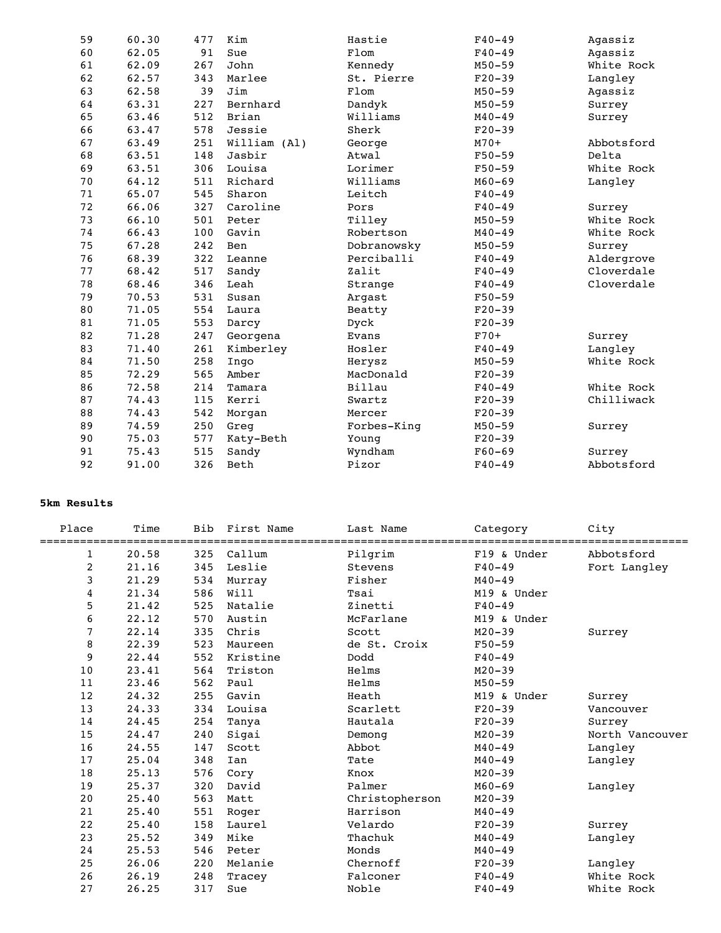| 59 | 60.30 | 477 | Kim          | Hastie      | $F40 - 49$ | Agassiz    |
|----|-------|-----|--------------|-------------|------------|------------|
| 60 | 62.05 | 91  | Sue          | $\tt F1om$  | $F40 - 49$ | Agassiz    |
| 61 | 62.09 | 267 | John         | Kennedy     | $M50 - 59$ | White Rock |
| 62 | 62.57 | 343 | Marlee       | St. Pierre  | $F20-39$   | Langley    |
| 63 | 62.58 | 39  | Jim          | Flom        | $M50 - 59$ | Agassiz    |
| 64 | 63.31 | 227 | Bernhard     | Dandyk      | $M50 - 59$ | Surrey     |
| 65 | 63.46 | 512 | Brian        | Williams    | $M40 - 49$ | Surrey     |
| 66 | 63.47 | 578 | Jessie       | Sherk       | $F20-39$   |            |
| 67 | 63.49 | 251 | William (Al) | George      | $M70+$     | Abbotsford |
| 68 | 63.51 | 148 | Jasbir       | Atwal       | $F50 - 59$ | Delta      |
| 69 | 63.51 | 306 | Louisa       | Lorimer     | $F50 - 59$ | White Rock |
| 70 | 64.12 | 511 | Richard      | Williams    | $M60 - 69$ | Langley    |
| 71 | 65.07 | 545 | Sharon       | Leitch      | $F40 - 49$ |            |
| 72 | 66.06 | 327 | Caroline     | Pors        | $F40 - 49$ | Surrey     |
| 73 | 66.10 | 501 | Peter        | Tilley      | $M50 - 59$ | White Rock |
| 74 | 66.43 | 100 | Gavin        | Robertson   | $M40 - 49$ | White Rock |
| 75 | 67.28 | 242 | Ben          | Dobranowsky | $M50 - 59$ | Surrey     |
| 76 | 68.39 | 322 | Leanne       | Perciballi  | $F40 - 49$ | Aldergrove |
| 77 | 68.42 | 517 | Sandy        | Zalit       | $F40 - 49$ | Cloverdale |
| 78 | 68.46 | 346 | Leah         | Strange     | $F40 - 49$ | Cloverdale |
| 79 | 70.53 | 531 | Susan        | Argast      | $F50 - 59$ |            |
| 80 | 71.05 | 554 | Laura        | Beatty      | $F20-39$   |            |
| 81 | 71.05 | 553 | Darcy        | Dyck        | $F20-39$   |            |
| 82 | 71.28 | 247 | Georgena     | Evans       | $F70+$     | Surrey     |
| 83 | 71.40 | 261 | Kimberley    | Hosler      | $F40 - 49$ | Langley    |
| 84 | 71.50 | 258 | Ingo         | Herysz      | $M50 - 59$ | White Rock |
| 85 | 72.29 | 565 | Amber        | MacDonald   | $F20-39$   |            |
| 86 | 72.58 | 214 | Tamara       | Billau      | $F40 - 49$ | White Rock |
| 87 | 74.43 | 115 | Kerri        | Swartz      | $F20-39$   | Chilliwack |
| 88 | 74.43 | 542 | Morgan       | Mercer      | $F20-39$   |            |
| 89 | 74.59 | 250 | Greg         | Forbes-King | $M50 - 59$ | Surrey     |
| 90 | 75.03 | 577 | Katy-Beth    | Young       | $F20-39$   |            |
| 91 | 75.43 | 515 | Sandy        | Wyndham     | $F60 - 69$ | Surrey     |
| 92 | 91.00 | 326 | Beth         | Pizor       | $F40 - 49$ | Abbotsford |
|    |       |     |              |             |            |            |

## **5km Results**

| Place | Time  | Bib | First Name | Last Name<br>============== | Category    | City            |
|-------|-------|-----|------------|-----------------------------|-------------|-----------------|
| 1     | 20.58 | 325 | Callum     | Pilgrim                     | F19 & Under | Abbotsford      |
| 2     | 21.16 | 345 | Leslie     | Stevens                     | $F40-49$    | Fort Langley    |
| 3     | 21.29 | 534 | Murray     | Fisher                      | $M40 - 49$  |                 |
| 4     | 21.34 | 586 | Will       | Tsai                        | M19 & Under |                 |
| 5     | 21.42 | 525 | Natalie    | Zinetti                     | $F40-49$    |                 |
| 6     | 22.12 | 570 | Austin     | McFarlane                   | M19 & Under |                 |
| 7     | 22.14 | 335 | Chris      | Scott                       | $M20 - 39$  | Surrey          |
| 8     | 22.39 | 523 | Maureen    | de St. Croix                | $F50 - 59$  |                 |
| 9     | 22.44 | 552 | Kristine   | Dodd                        | $F40-49$    |                 |
| 10    | 23.41 | 564 | Triston    | Helms                       | $M20 - 39$  |                 |
| 11    | 23.46 | 562 | Paul       | Helms                       | $M50 - 59$  |                 |
| 12    | 24.32 | 255 | Gavin      | Heath                       | M19 & Under | Surrey          |
| 13    | 24.33 | 334 | Louisa     | Scarlett                    | $F20-39$    | Vancouver       |
| 14    | 24.45 | 254 | Tanya      | Hautala                     | $F20-39$    | Surrey          |
| 15    | 24.47 | 240 | Sigai      | Demong                      | $M20 - 39$  | North Vancouver |
| 16    | 24.55 | 147 | Scott      | Abbot                       | $M40 - 49$  | Langley         |
| 17    | 25.04 | 348 | Ian        | Tate                        | $M40 - 49$  | Langley         |
| 18    | 25.13 | 576 | Cory       | Knox                        | $M20 - 39$  |                 |
| 19    | 25.37 | 320 | David      | Palmer                      | $M60 - 69$  | Langley         |
| 20    | 25.40 | 563 | Matt       | Christopherson              | $M20 - 39$  |                 |
| 21    | 25.40 | 551 | Roger      | Harrison                    | $M40 - 49$  |                 |
| 22    | 25.40 | 158 | Laurel     | Velardo                     | $F20-39$    | Surrey          |
| 23    | 25.52 | 349 | Mike       | Thachuk                     | $M40 - 49$  | Langley         |
| 24    | 25.53 | 546 | Peter      | Monds                       | $M40 - 49$  |                 |
| 25    | 26.06 | 220 | Melanie    | Chernoff                    | $F20-39$    | Langley         |
| 26    | 26.19 | 248 | Tracey     | Falconer                    | $F40 - 49$  | White Rock      |
| 27    | 26.25 | 317 | Sue        | Noble                       | $F40 - 49$  | White Rock      |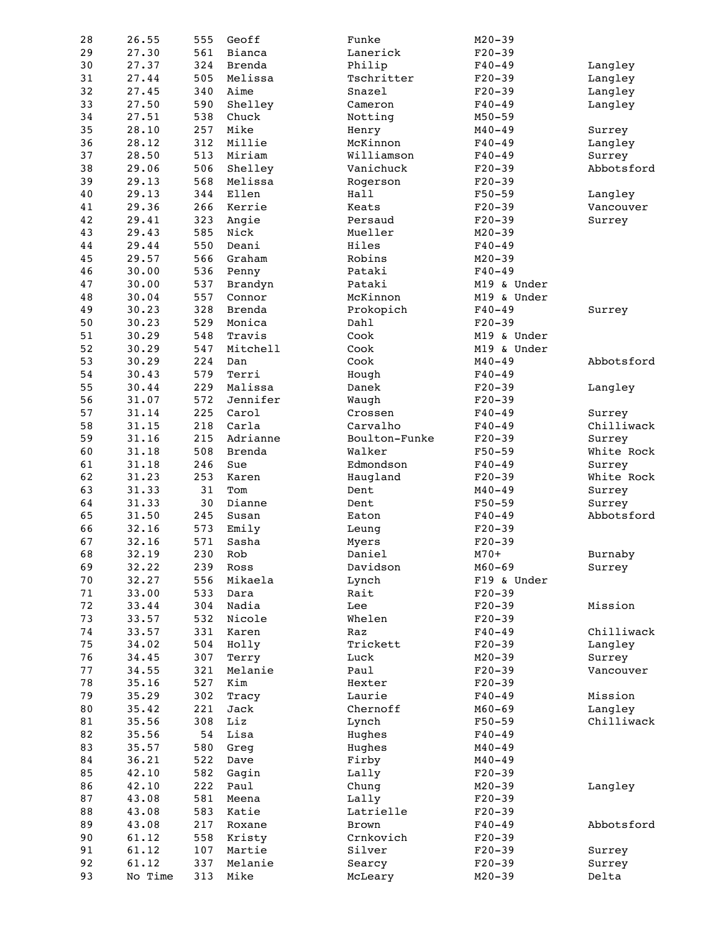| 28 | 26.55   | 555 | Geoff         | Funke         | $M20 - 39$  |            |
|----|---------|-----|---------------|---------------|-------------|------------|
| 29 | 27.30   | 561 | Bianca        | Lanerick      | $F20-39$    |            |
| 30 | 27.37   | 324 | Brenda        | Philip        | $F40 - 49$  | Langley    |
| 31 | 27.44   | 505 | Melissa       | Tschritter    | $F20-39$    | Langley    |
| 32 | 27.45   | 340 | Aime          | Snazel        | $F20-39$    | Langley    |
| 33 | 27.50   | 590 | Shelley       | Cameron       | $F40 - 49$  | Langley    |
| 34 | 27.51   | 538 | Chuck         | Notting       | $M50 - 59$  |            |
|    |         |     |               |               |             |            |
| 35 | 28.10   | 257 | Mike          | Henry         | $M40 - 49$  | Surrey     |
| 36 | 28.12   | 312 | Millie        | McKinnon      | $F40 - 49$  | Langley    |
| 37 | 28.50   | 513 | Miriam        | Williamson    | $F40 - 49$  | Surrey     |
| 38 | 29.06   | 506 | Shelley       | Vanichuck     | $F20-39$    | Abbotsford |
| 39 | 29.13   | 568 | Melissa       | Rogerson      | $F20-39$    |            |
| 40 | 29.13   | 344 | Ellen         | Hall          | $F50 - 59$  | Langley    |
| 41 | 29.36   | 266 | Kerrie        | Keats         | $F20-39$    | Vancouver  |
| 42 | 29.41   | 323 | Angie         | Persaud       | $F20-39$    | Surrey     |
| 43 | 29.43   | 585 | Nick          | Mueller       | $M20 - 39$  |            |
| 44 | 29.44   | 550 | Deani         | Hiles         | $F40 - 49$  |            |
| 45 | 29.57   | 566 | Graham        | Robins        | $M20 - 39$  |            |
| 46 | 30.00   | 536 | Penny         | Pataki        | $F40 - 49$  |            |
|    |         |     |               |               |             |            |
| 47 | 30.00   | 537 | Brandyn       | Pataki        | M19 & Under |            |
| 48 | 30.04   | 557 | Connor        | McKinnon      | M19 & Under |            |
| 49 | 30.23   | 328 | Brenda        | Prokopich     | $F40 - 49$  | Surrey     |
| 50 | 30.23   | 529 | Monica        | Dahl          | $F20-39$    |            |
| 51 | 30.29   | 548 | Travis        | Cook          | M19 & Under |            |
| 52 | 30.29   | 547 | Mitchell      | Cook          | M19 & Under |            |
| 53 | 30.29   | 224 | Dan           | Cook          | $M40 - 49$  | Abbotsford |
| 54 | 30.43   | 579 | Terri         | Hough         | $F40 - 49$  |            |
| 55 | 30.44   | 229 | Malissa       | Danek         | $F20-39$    | Langley    |
| 56 | 31.07   | 572 | Jennifer      | Waugh         | $F20-39$    |            |
| 57 |         | 225 | Carol         |               | $F40 - 49$  |            |
|    | 31.14   |     |               | Crossen       |             | Surrey     |
| 58 | 31.15   | 218 | Carla         | Carvalho      | $F40 - 49$  | Chilliwack |
| 59 | 31.16   | 215 | Adrianne      | Boulton-Funke | $F20-39$    | Surrey     |
| 60 | 31.18   | 508 | <b>Brenda</b> | Walker        | $F50 - 59$  | White Rock |
| 61 | 31.18   | 246 | Sue           | Edmondson     | $F40 - 49$  | Surrey     |
| 62 | 31.23   | 253 | Karen         | Haugland      | $F20-39$    | White Rock |
| 63 | 31.33   | 31  | Tom           | Dent          | $M40 - 49$  | Surrey     |
| 64 | 31.33   | 30  | Dianne        | Dent          | $F50 - 59$  | Surrey     |
| 65 | 31.50   | 245 | Susan         | Eaton         | $F40 - 49$  | Abbotsford |
| 66 | 32.16   | 573 | Emily         | Leung         | $F20-39$    |            |
| 67 | 32.16   | 571 | Sasha         | Myers         | $F20-39$    |            |
| 68 | 32.19   | 230 | Rob           | Daniel        | $M70+$      | Burnaby    |
|    |         |     |               |               |             |            |
| 69 | 32.22   | 239 | Ross          | Davidson      | M60–69      | Surrey     |
| 70 | 32.27   | 556 | Mikaela       | Lynch         | F19 & Under |            |
| 71 | 33.00   | 533 | Dara          | Rait          | $F20-39$    |            |
| 72 | 33.44   | 304 | Nadia         | Lee           | $F20-39$    | Mission    |
| 73 | 33.57   | 532 | Nicole        | Whelen        | $F20-39$    |            |
| 74 | 33.57   | 331 | Karen         | Raz           | $F40 - 49$  | Chilliwack |
| 75 | 34.02   | 504 | Holly         | Trickett      | $F20-39$    | Langley    |
| 76 | 34.45   | 307 | Terry         | Luck          | $M20 - 39$  | Surrey     |
| 77 | 34.55   | 321 | Melanie       | Paul          | $F20-39$    | Vancouver  |
| 78 | 35.16   | 527 | Kim           | Hexter        | $F20-39$    |            |
|    |         |     |               |               |             |            |
| 79 | 35.29   | 302 | Tracy         | Laurie        | $F40 - 49$  | Mission    |
| 80 | 35.42   | 221 | Jack          | Chernoff      | $M60 - 69$  | Langley    |
| 81 | 35.56   | 308 | Liz           | Lynch         | $F50 - 59$  | Chilliwack |
| 82 | 35.56   | 54  | Lisa          | Hughes        | $F40 - 49$  |            |
| 83 | 35.57   | 580 | Greg          | Hughes        | $M40 - 49$  |            |
| 84 | 36.21   | 522 | Dave          | Firby         | $M40 - 49$  |            |
| 85 | 42.10   | 582 | Gagin         | Lally         | $F20-39$    |            |
| 86 | 42.10   | 222 | Paul          | Chung         | $M20 - 39$  | Langley    |
| 87 | 43.08   | 581 | Meena         | Lally         | $F20-39$    |            |
| 88 | 43.08   | 583 | Katie         | Latrielle     | $F20-39$    |            |
|    |         |     |               |               |             |            |
| 89 | 43.08   | 217 | Roxane        | Brown         | $F40 - 49$  | Abbotsford |
| 90 | 61.12   | 558 | Kristy        | Crnkovich     | $F20-39$    |            |
| 91 | 61.12   | 107 | Martie        | Silver        | $F20-39$    | Surrey     |
| 92 | 61.12   | 337 | Melanie       | Searcy        | $F20-39$    | Surrey     |
| 93 | No Time | 313 | Mike          | McLeary       | $M20 - 39$  | Delta      |